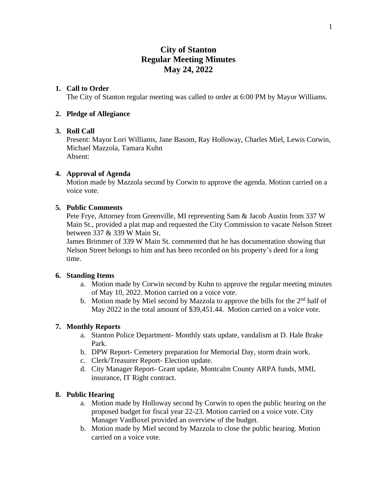# **City of Stanton Regular Meeting Minutes May 24, 2022**

# **1. Call to Order**

The City of Stanton regular meeting was called to order at 6:00 PM by Mayor Williams.

### **2. Pledge of Allegiance**

### **3. Roll Call**

Present: Mayor Lori Williams, Jane Basom, Ray Holloway, Charles Miel, Lewis Corwin, Michael Mazzola, Tamara Kuhn Absent:

### **4. Approval of Agenda**

Motion made by Mazzola second by Corwin to approve the agenda. Motion carried on a voice vote.

# **5. Public Comments**

Pete Frye, Attorney from Greenville, MI representing Sam & Jacob Austin from 337 W Main St., provided a plat map and requested the City Commission to vacate Nelson Street between 337 & 339 W Main St.

James Brimmer of 339 W Main St. commented that he has documentation showing that Nelson Street belongs to him and has been recorded on his property's deed for a long time.

#### **6. Standing Items**

- a. Motion made by Corwin second by Kuhn to approve the regular meeting minutes of May 10, 2022. Motion carried on a voice vote.
- b. Motion made by Miel second by Mazzola to approve the bills for the  $2<sup>nd</sup>$  half of May 2022 in the total amount of \$39,451.44. Motion carried on a voice vote.

# **7. Monthly Reports**

- a. Stanton Police Department- Monthly stats update, vandalism at D. Hale Brake Park.
- b. DPW Report- Cemetery preparation for Memorial Day, storm drain work.
- c. Clerk/Treasurer Report- Election update.
- d. City Manager Report- Grant update, Montcalm County ARPA funds, MML insurance, IT Right contract.

# **8. Public Hearing**

- a. Motion made by Holloway second by Corwin to open the public hearing on the proposed budget for fiscal year 22-23. Motion carried on a voice vote. City Manager VanBoxel provided an overview of the budget.
- b. Motion made by Miel second by Mazzola to close the public hearing. Motion carried on a voice vote.